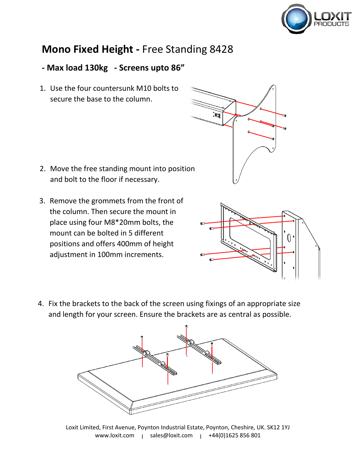

## **Mono Fixed Height -** Free Standing 8428

## **- Max load 130kg - Screens upto 86"**

1. Use the four countersunk M10 bolts to secure the base to the column.

- 2. Move the free standing mount into position and bolt to the floor if necessary.
- 3. Remove the grommets from the front of the column. Then secure the mount in place using four M8\*20mm bolts, the mount can be bolted in 5 different positions and offers 400mm of height adjustment in 100mm increments.





4. Fix the brackets to the back of the screen using fixings of an appropriate size and length for your screen. Ensure the brackets are as central as possible.



Loxit Limited, First Avenue, Poynton Industrial Estate, Poynton, Cheshire, UK. SK12 1YJ www.loxit.com | sales@loxit.com | +44(0)1625 856 801